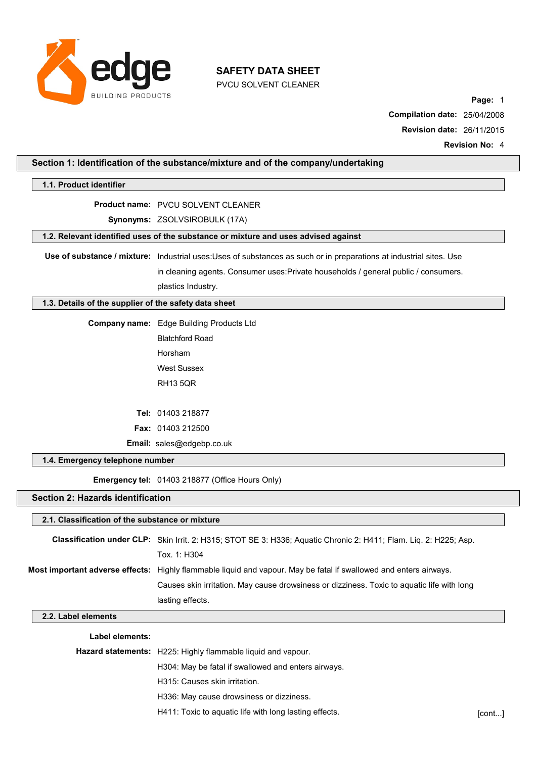

PVCU SOLVENT CLEANER

**Page:** 1 **Compilation date:** 25/04/2008 **Revision date:** 26/11/2015 **Revision No:** 4

### **Section 1: Identification of the substance/mixture and of the company/undertaking**

#### **1.1. Product identifier**

#### **Product name:** PVCU SOLVENT CLEANER

#### **Synonyms:** ZSOLVSIROBULK (17A)

#### **1.2. Relevant identified uses of the substance or mixture and uses advised against**

**Use of substance / mixture:** Industrial uses:Uses of substances as such or in preparations at industrial sites. Use

in cleaning agents. Consumer uses:Private households / general public / consumers. plastics Industry.

#### **1.3. Details of the supplier of the safety data sheet**

**Company name:** Edge Building Products Ltd

Blatchford Road Horsham West Sussex RH13 5QR

**Tel:** 01403 218877 **Fax:** 01403 212500 **Email:** [sales@edgebp.co.uk](mailto:enquiries@leading-solvents.co.uk)

### **1.4. Emergency telephone number**

**Emergency tel:** 01403 218877 (Office Hours Only)

### **Section 2: Hazards identification**

# **2.1. Classification of the substance or mixture Classification under CLP:** Skin Irrit. 2: H315; STOT SE 3: H336; Aquatic Chronic 2: H411; Flam. Liq. 2: H225; Asp. Tox. 1: H304 **Most important adverse effects:** Highly flammable liquid and vapour. May be fatal if swallowed and enters airways. Causes skin irritation. May cause drowsiness or dizziness. Toxic to aquatic life with long lasting effects.

### **2.2. Label elements**

### **Label elements:**

| <b>Hazard statements:</b> H225: Highly flammable liquid and vapour. |        |
|---------------------------------------------------------------------|--------|
| H304: May be fatal if swallowed and enters airways.                 |        |
| H315: Causes skin irritation.                                       |        |
| H336: May cause drowsiness or dizziness.                            |        |
| H411: Toxic to aquatic life with long lasting effects.              | [cont] |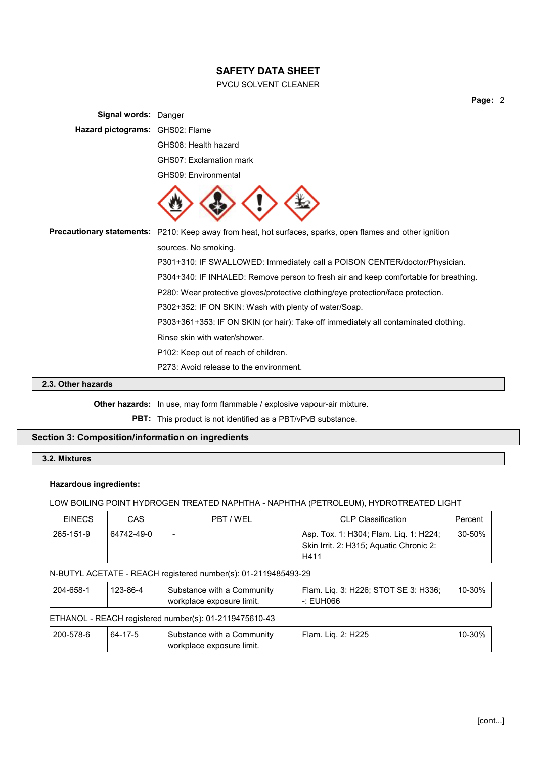### PVCU SOLVENT CLEANER

**Page:** 2

| <b>Signal words: Danger</b>     |                                                                                                                  |
|---------------------------------|------------------------------------------------------------------------------------------------------------------|
| Hazard pictograms: GHS02: Flame |                                                                                                                  |
|                                 | GHS08: Health hazard                                                                                             |
|                                 | GHS07: Exclamation mark                                                                                          |
|                                 | GHS09: Environmental                                                                                             |
|                                 |                                                                                                                  |
|                                 | <b>Precautionary statements:</b> P210: Keep away from heat, hot surfaces, sparks, open flames and other ignition |
|                                 | sources. No smoking.                                                                                             |
|                                 | P301+310: IF SWALLOWED: Immediately call a POISON CENTER/doctor/Physician.                                       |
|                                 | P304+340: IF INHALED: Remove person to fresh air and keep comfortable for breathing.                             |
|                                 | P280: Wear protective gloves/protective clothing/eye protection/face protection.                                 |
|                                 | P302+352: IF ON SKIN: Wash with plenty of water/Soap.                                                            |
|                                 | P303+361+353: IF ON SKIN (or hair): Take off immediately all contaminated clothing.                              |
|                                 | Rinse skin with water/shower.                                                                                    |
|                                 | P102: Keep out of reach of children.                                                                             |
|                                 | P273: Avoid release to the environment.                                                                          |

### **2.3. Other hazards**

**Other hazards:** In use, may form flammable / explosive vapour-air mixture.

**PBT:** This product is not identified as a PBT/vPvB substance.

### **Section 3: Composition/information on ingredients**

### **3.2. Mixtures**

#### **Hazardous ingredients:**

### LOW BOILING POINT HYDROGEN TREATED NAPHTHA - NAPHTHA (PETROLEUM), HYDROTREATED LIGHT

| <b>EINECS</b> | CAS        | PRT / WFI                | <b>CLP Classification</b>                                                                 | Percent    |
|---------------|------------|--------------------------|-------------------------------------------------------------------------------------------|------------|
| 265-151-9     | 64742-49-0 | $\overline{\phantom{a}}$ | Asp. Tox. 1: H304; Flam. Lig. 1: H224;<br>Skin Irrit. 2: H315; Aquatic Chronic 2:<br>H411 | $30 - 50%$ |

#### N-BUTYL ACETATE - REACH registered number(s): 01-2119485493-29

| 204-658-1 | 123-86-4 | Substance with a Community | ' Flam. Lig. 3: H226: STOT SE 3: H336: | 10-30% |
|-----------|----------|----------------------------|----------------------------------------|--------|
|           |          | workplace exposure limit.  | -: EUH066                              |        |

### ETHANOL - REACH registered number(s): 01-2119475610-43

| 200-578-6 | $17 - 5$<br>64-1 | Substance with a Community<br>workplace exposure limit. | 2: H225<br>Flam.<br>Lıa. | 30%<br>U-. |
|-----------|------------------|---------------------------------------------------------|--------------------------|------------|
|-----------|------------------|---------------------------------------------------------|--------------------------|------------|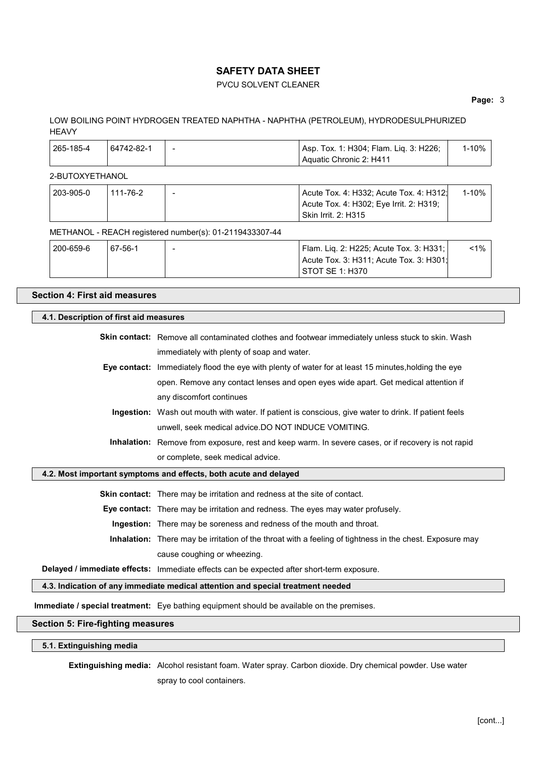### PVCU SOLVENT CLEANER

#### **Page:** 3

### LOW BOILING POINT HYDROGEN TREATED NAPHTHA - NAPHTHA (PETROLEUM), HYDRODESULPHURIZED **HEAVY**

| 265-185-4 | 64742-82-1 | $\overline{\phantom{a}}$ | Asp. Tox. 1: H304; Flam. Lig. 3: H226; | 1-10% l |
|-----------|------------|--------------------------|----------------------------------------|---------|
|           |            |                          | Aquatic Chronic 2: H411                |         |

### 2-BUTOXYETHANOL

| 203-905-0 | 111-76-2 | $\overline{\phantom{a}}$ | Acute Tox. 4: H332; Acute Tox. 4: H312;<br>Acute Tox. 4: H302; Eye Irrit. 2: H319;<br><b>Skin Irrit. 2: H315</b> | 1-10% |
|-----------|----------|--------------------------|------------------------------------------------------------------------------------------------------------------|-------|
|           |          |                          |                                                                                                                  |       |

#### METHANOL - REACH registered number(s): 01-2119433307-44

| 200-659-6 | 67-56-1 | Flam. Lig. 2: H225; Acute Tox. 3: H331; | $<$ 1% |
|-----------|---------|-----------------------------------------|--------|
|           |         | Acute Tox. 3: H311; Acute Tox. 3: H301; |        |
|           |         | STOT SE 1: H370                         |        |

### **Section 4: First aid measures**

# **4.1. Description of first aid measures Skin contact:** Remove all contaminated clothes and footwear immediately unless stuck to skin. Wash immediately with plenty of soap and water. **Eye contact:** Immediately flood the eye with plenty of water for at least 15 minutes,holding the eye open. Remove any contact lenses and open eyes wide apart. Get medical attention if any discomfort continues **Ingestion:** Wash out mouth with water. If patient is conscious, give water to drink. If patient feels unwell, seek medical advice.DO NOT INDUCE VOMITING. **Inhalation:** Remove from exposure, rest and keep warm. In severe cases, or if recovery is not rapid or complete, seek medical advice. **4.2. Most important symptoms and effects, both acute and delayed Skin contact:** There may be irritation and redness at the site of contact.

**Eye contact:** There may be irritation and redness. The eyes may water profusely.

**Ingestion:** There may be soreness and redness of the mouth and throat.

**Inhalation:** There may be irritation of the throat with a feeling of tightness in the chest. Exposure may cause coughing or wheezing.

**Delayed / immediate effects:** Immediate effects can be expected after short-term exposure.

**4.3. Indication of any immediate medical attention and special treatment needed**

**Immediate / special treatment:** Eye bathing equipment should be available on the premises.

### **Section 5: Fire-fighting measures**

**5.1. Extinguishing media**

**Extinguishing media:** Alcohol resistant foam. Water spray. Carbon dioxide. Dry chemical powder. Use water spray to cool containers.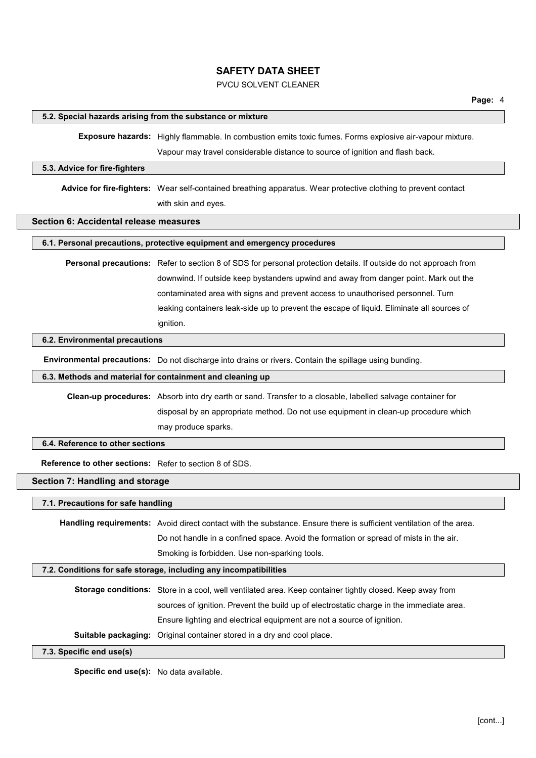### PVCU SOLVENT CLEANER

#### **5.2. Special hazards arising from the substance or mixture**

**Exposure hazards:** Highly flammable. In combustion emits toxic fumes. Forms explosive air-vapour mixture. Vapour may travel considerable distance to source of ignition and flash back.

#### **5.3. Advice for fire-fighters**

**Advice for fire-fighters:** Wear self-contained breathing apparatus. Wear protective clothing to prevent contact with skin and eyes.

### **Section 6: Accidental release measures**

### **6.1. Personal precautions, protective equipment and emergency procedures**

**Personal precautions:** Refer to section 8 of SDS for personal protection details. If outside do not approach from downwind. If outside keep bystanders upwind and away from danger point. Mark out the contaminated area with signs and prevent access to unauthorised personnel. Turn leaking containers leak-side up to prevent the escape of liquid. Eliminate all sources of ignition.

#### **6.2. Environmental precautions**

**Environmental precautions:** Do not discharge into drains or rivers. Contain the spillage using bunding.

#### **6.3. Methods and material for containment and cleaning up**

**Clean-up procedures:** Absorb into dry earth or sand. Transfer to a closable, labelled salvage container for disposal by an appropriate method. Do not use equipment in clean-up procedure which may produce sparks.

### **6.4. Reference to other sections**

**Reference to other sections:** Refer to section 8 of SDS.

#### **Section 7: Handling and storage**

**7.1. Precautions for safe handling**

**Handling requirements:** Avoid direct contact with the substance. Ensure there is sufficient ventilation of the area. Do not handle in a confined space. Avoid the formation or spread of mists in the air. Smoking is forbidden. Use non-sparking tools.

#### **7.2. Conditions for safe storage, including any incompatibilities**

**Storage conditions:** Store in a cool, well ventilated area. Keep container tightly closed. Keep away from sources of ignition. Prevent the build up of electrostatic charge in the immediate area. Ensure lighting and electrical equipment are not a source of ignition.

**Suitable packaging:** Original container stored in a dry and cool place.

#### **7.3. Specific end use(s)**

**Specific end use(s):** No data available.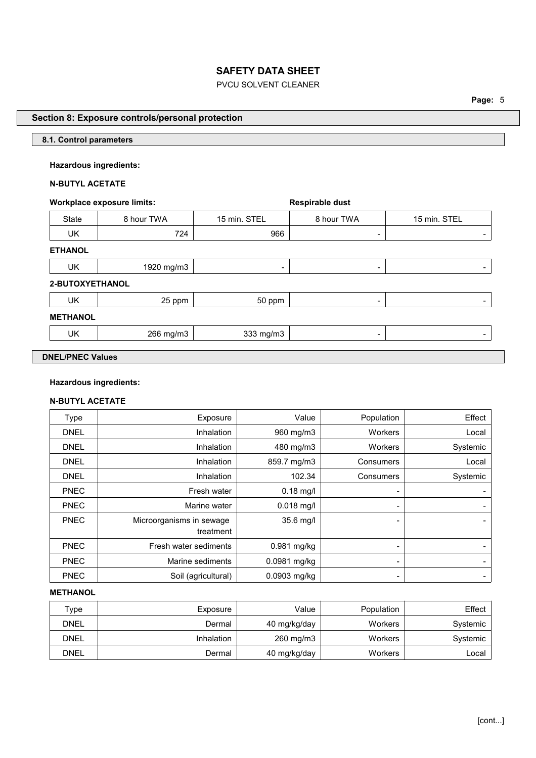# PVCU SOLVENT CLEANER

**Page:** 5

### **Section 8: Exposure controls/personal protection**

### **8.1. Control parameters**

### **Hazardous ingredients:**

# **N-BUTYL ACETATE**

### **Workplace** exposure limits: **Respirable** dust

State | 8 hour TWA | 15 min. STEL | 8 hour TWA | 15 min. STEL UK 724 966 - - **ETHANOL** UK 1920 mg/m3 - - - **2-BUTOXYETHANOL** UK 25 ppm 50 ppm - - **METHANOL**  $UK$  266 mg/m3  $333$  mg/m3  $-$ **DNEL/PNEC Values**

# **Hazardous ingredients:**

## **N-BUTYL ACETATE**

| Type        | Exposure                 | Value         | Population | Effect                   |
|-------------|--------------------------|---------------|------------|--------------------------|
| <b>DNEL</b> | Inhalation               | 960 mg/m3     | Workers    | Local                    |
| <b>DNEL</b> | Inhalation               | 480 mg/m3     | Workers    | Systemic                 |
| <b>DNEL</b> | Inhalation               | 859.7 mg/m3   | Consumers  | Local                    |
| <b>DNEL</b> | Inhalation               | 102.34        | Consumers  | Systemic                 |
| <b>PNEC</b> | Fresh water              | $0.18$ mg/l   |            |                          |
| <b>PNEC</b> | Marine water             | $0.018$ mg/l  | -          |                          |
| <b>PNEC</b> | Microorganisms in sewage | 35.6 mg/l     | -          |                          |
|             | treatment                |               |            |                          |
| <b>PNEC</b> | Fresh water sediments    | $0.981$ mg/kg | -          |                          |
| <b>PNEC</b> | Marine sediments         | 0.0981 mg/kg  | -          |                          |
| <b>PNEC</b> | Soil (agricultural)      | 0.0903 mg/kg  |            | $\overline{\phantom{a}}$ |

### **METHANOL**

| туре        | Exposure          | Value        | Population | $E$ ffect $\parallel$ |
|-------------|-------------------|--------------|------------|-----------------------|
| <b>DNEL</b> | Dermal            | 40 mg/kg/day | Workers    | Systemic              |
| <b>DNEL</b> | <b>Inhalation</b> | 260 mg/m3    | Workers    | Systemic              |
| <b>DNEL</b> | Dermal            | 40 mg/kg/day | Workers    | ∟ocal                 |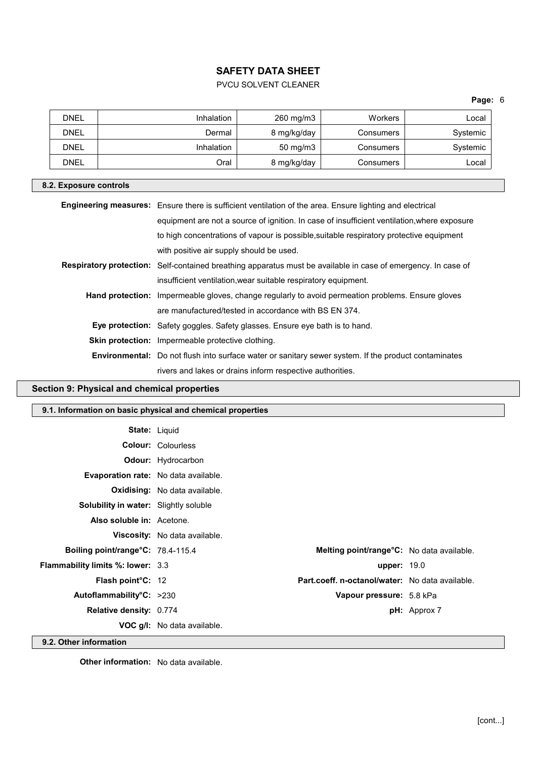# PVCU SOLVENT CLEANER

## **Page:** 6

| <b>DNEL</b> | Inhalation | 260 mg/m3         | <b>Workers</b> | ∟ocal    |
|-------------|------------|-------------------|----------------|----------|
| DNEL        | Dermal     | 8 mg/kg/day       | Consumers      | Systemic |
| <b>DNEL</b> | Inhalation | $50 \text{ mg/m}$ | Consumers      | Systemic |
| <b>DNEL</b> | Oral       | 8 mg/kg/day       | Consumers      | ∟ocal    |

### **8.2. Exposure controls**

| Engineering measures: Ensure there is sufficient ventilation of the area. Ensure lighting and electrical      |
|---------------------------------------------------------------------------------------------------------------|
| equipment are not a source of ignition. In case of insufficient ventilation, where exposure                   |
| to high concentrations of vapour is possible, suitable respiratory protective equipment                       |
| with positive air supply should be used.                                                                      |
| Respiratory protection: Self-contained breathing apparatus must be available in case of emergency. In case of |
| insufficient ventilation, wear suitable respiratory equipment.                                                |
| <b>Hand protection:</b> Impermeable gloves, change regularly to avoid permeation problems. Ensure gloves      |
| are manufactured/tested in accordance with BS EN 374.                                                         |
| <b>Eye protection:</b> Safety goggles. Safety glasses. Ensure eye bath is to hand.                            |
| Skin protection: Impermeable protective clothing.                                                             |
| <b>Environmental:</b> Do not flush into surface water or sanitary sewer system. If the product contaminates   |
| rivers and lakes or drains inform respective authorities.                                                     |
|                                                                                                               |

# **Section 9: Physical and chemical properties**

|                                              | 9.1. Information on basic physical and chemical properties |                                                   |                     |
|----------------------------------------------|------------------------------------------------------------|---------------------------------------------------|---------------------|
|                                              | <b>State: Liquid</b>                                       |                                                   |                     |
|                                              | <b>Colour: Colourless</b>                                  |                                                   |                     |
|                                              | <b>Odour:</b> Hydrocarbon                                  |                                                   |                     |
| <b>Evaporation rate:</b> No data available.  |                                                            |                                                   |                     |
|                                              | Oxidising: No data available.                              |                                                   |                     |
| <b>Solubility in water:</b> Slightly soluble |                                                            |                                                   |                     |
| Also soluble in: Acetone.                    |                                                            |                                                   |                     |
|                                              | Viscosity: No data available.                              |                                                   |                     |
| Boiling point/range°C: 78.4-115.4            |                                                            | <b>Melting point/range °C:</b> No data available. |                     |
| <b>Flammability limits %: lower: 3.3</b>     |                                                            | <b>upper: 19.0</b>                                |                     |
| Flash point°C: 12                            |                                                            | Part.coeff. n-octanol/water: No data available.   |                     |
| Autoflammability°C: >230                     |                                                            | Vapour pressure: 5.8 kPa                          |                     |
| Relative density: 0.774                      |                                                            |                                                   | <b>pH:</b> Approx 7 |
|                                              | <b>VOC g/I:</b> No data available.                         |                                                   |                     |
| 9.2. Other information                       |                                                            |                                                   |                     |

**Other information:** No data available.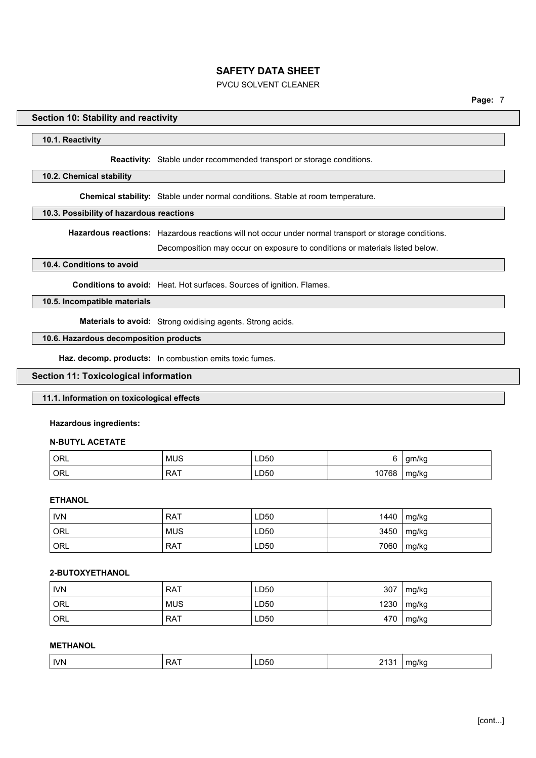### PVCU SOLVENT CLEANER

### **Section 10: Stability and reactivity**

### **10.1. Reactivity**

**Reactivity:** Stable under recommended transport or storage conditions.

#### **10.2. Chemical stability**

**Chemical stability:** Stable under normal conditions. Stable at room temperature.

#### **10.3. Possibility of hazardous reactions**

**Hazardous reactions:** Hazardous reactions will not occur under normal transport or storage conditions.

Decomposition may occur on exposure to conditions or materials listed below.

#### **10.4. Conditions to avoid**

**Conditions to avoid:** Heat. Hot surfaces. Sources of ignition. Flames.

### **10.5. Incompatible materials**

**Materials to avoid:** Strong oxidising agents. Strong acids.

### **10.6. Hazardous decomposition products**

**Haz. decomp. products:** In combustion emits toxic fumes.

### **Section 11: Toxicological information**

### **11.1. Information on toxicological effects**

#### **Hazardous ingredients:**

### **N-BUTYL ACETATE**

| ORL   | <b>MUS</b> | LD50 |              | gm/kg |
|-------|------------|------|--------------|-------|
| ' ORL | <b>RAT</b> | LD50 | 0768<br>07 ا | mg/kg |

### **ETHANOL**

| <b>IVN</b> | <b>RAT</b> | LD50 | 1440 | mg/kg |
|------------|------------|------|------|-------|
| ORL        | <b>MUS</b> | LD50 | 3450 | mg/kg |
| ORL        | <b>RAT</b> | LD50 | 7060 | mg/kg |

#### **2-BUTOXYETHANOL**

| <b>IVN</b> | <b>RAT</b> | LD50 | 307  | mg/kg |
|------------|------------|------|------|-------|
| ORL        | <b>MUS</b> | LD50 | 1230 | mg/kg |
| ORL        | <b>RAT</b> | LD50 | 470  | mg/kg |

### **METHANOL**

| <b>IVN</b><br>050۔<br>. .<br>⋻៱<br>. .<br>.<br>$\mathbf{v}$<br>- -<br>$ -$<br>. . |
|-----------------------------------------------------------------------------------|
|-----------------------------------------------------------------------------------|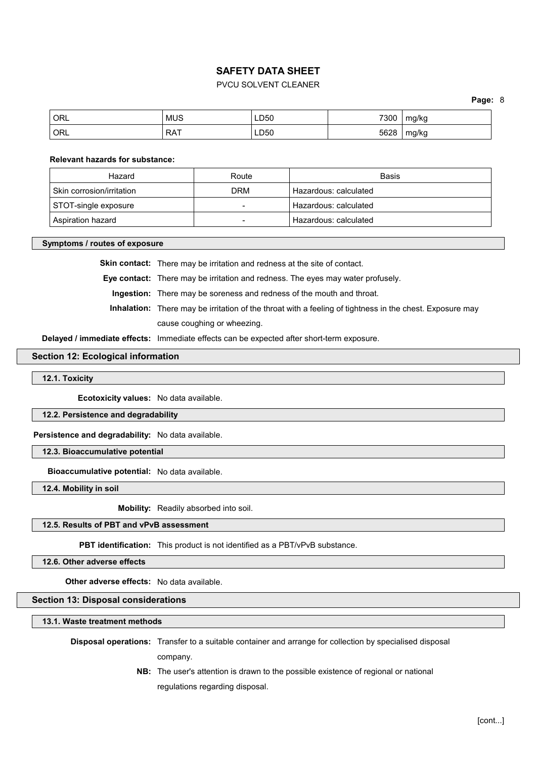### PVCU SOLVENT CLEANER

**Page:** 8

| ORL | <b>MUS</b> | LD50         | 7300 | mg/kg |
|-----|------------|--------------|------|-------|
| ORL | RAT        | LD50<br>$ -$ | 5628 | mg/kg |

#### **Relevant hazards for substance:**

| Hazard                    | Route | Basis                 |
|---------------------------|-------|-----------------------|
| Skin corrosion/irritation | DRM   | Hazardous: calculated |
| STOT-single exposure      |       | Hazardous: calculated |
| Aspiration hazard         |       | Hazardous: calculated |

#### **Symptoms / routes of exposure**

**Skin contact:** There may be irritation and redness at the site of contact.

**Eye contact:** There may be irritation and redness. The eyes may water profusely.

**Ingestion:** There may be soreness and redness of the mouth and throat.

**Inhalation:** There may be irritation of the throat with a feeling of tightness in the chest. Exposure may cause coughing or wheezing.

**Delayed / immediate effects:** Immediate effects can be expected after short-term exposure.

#### **Section 12: Ecological information**

#### **12.1. Toxicity**

**Ecotoxicity values:** No data available.

### **12.2. Persistence and degradability**

**Persistence and degradability:** No data available.

**12.3. Bioaccumulative potential**

**Bioaccumulative potential:** No data available.

**12.4. Mobility in soil**

**Mobility:** Readily absorbed into soil.

### **12.5. Results of PBT and vPvB assessment**

**PBT identification:** This product is not identified as a PBT/vPvB substance.

**12.6. Other adverse effects**

**Other adverse effects:** No data available.

### **Section 13: Disposal considerations**

**13.1. Waste treatment methods**

**Disposal operations:** Transfer to a suitable container and arrange for collection by specialised disposal company.

> **NB:** The user's attention is drawn to the possible existence of regional or national regulations regarding disposal.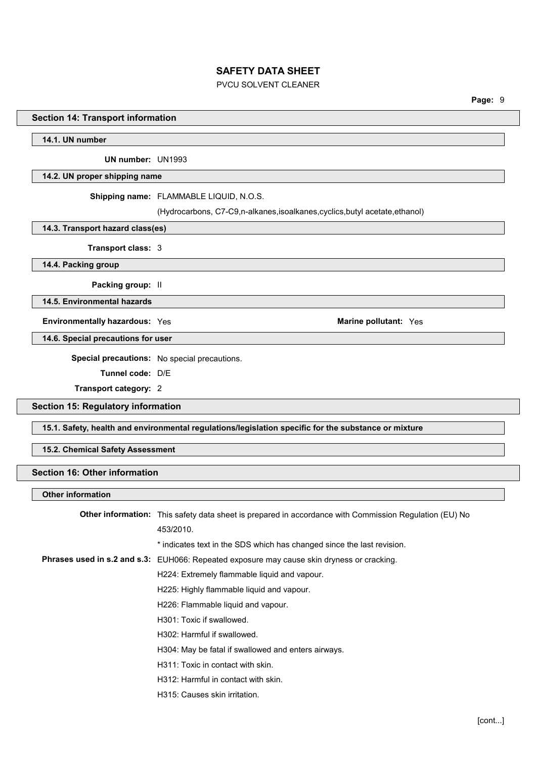### PVCU SOLVENT CLEANER

**Page:** 9

### **Section 14: Transport information**

### **14.1. UN number**

**UN number:** UN1993

#### **14.2. UN proper shipping name**

**Shipping name:** FLAMMABLE LIQUID, N.O.S.

(Hydrocarbons, C7-C9,n-alkanes,isoalkanes,cyclics,butyl acetate,ethanol)

### **14.3. Transport hazard class(es)**

**Transport class:** 3

**14.4. Packing group**

**Packing group:** II

**14.5. Environmental hazards**

**Environmentally hazardous:** Yes **Marine Marine Marine Marine Marine Marine Marine Marine Marine Marine Marine Marine Marine Marine Marine Marine Marine Marine Marine Marine Marine**

**14.6. Special precautions for user**

**Special precautions:** No special precautions.

**Tunnel code:** D/E

**Transport category:** 2

### **Section 15: Regulatory information**

**15.1. Safety, health and environmental regulations/legislation specific for the substance or mixture**

### **15.2. Chemical Safety Assessment**

### **Section 16: Other information**

### **Other information**

| <b>Other information:</b> This safety data sheet is prepared in accordance with Commission Regulation (EU) No |
|---------------------------------------------------------------------------------------------------------------|
| 453/2010.                                                                                                     |
| * indicates text in the SDS which has changed since the last revision.                                        |
| Phrases used in s.2 and s.3: EUH066: Repeated exposure may cause skin dryness or cracking.                    |
| H224: Extremely flammable liquid and vapour.                                                                  |
| H225: Highly flammable liquid and vapour.                                                                     |
| H226: Flammable liquid and vapour.                                                                            |
| H301: Toxic if swallowed.                                                                                     |
| H302: Harmful if swallowed.                                                                                   |
| H304: May be fatal if swallowed and enters airways.                                                           |
| H311: Toxic in contact with skin.                                                                             |
| H312: Harmful in contact with skin.                                                                           |
| H315: Causes skin irritation.                                                                                 |